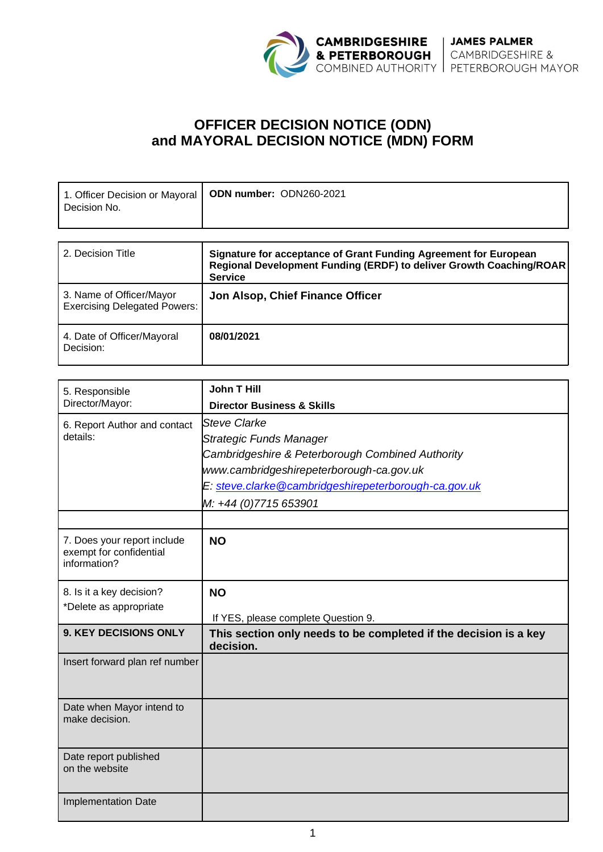

## **OFFICER DECISION NOTICE (ODN) and MAYORAL DECISION NOTICE (MDN) FORM**

| Decision No. | 1. Officer Decision or Mayoral   ODN number: ODN260-2021 |
|--------------|----------------------------------------------------------|
|              |                                                          |

| 2. Decision Title                                               | Signature for acceptance of Grant Funding Agreement for European<br>Regional Development Funding (ERDF) to deliver Growth Coaching/ROAR<br><b>Service</b> |  |
|-----------------------------------------------------------------|-----------------------------------------------------------------------------------------------------------------------------------------------------------|--|
| 3. Name of Officer/Mayor<br><b>Exercising Delegated Powers:</b> | Jon Alsop, Chief Finance Officer                                                                                                                          |  |
| 4. Date of Officer/Mayoral<br>Decision:                         | 08/01/2021                                                                                                                                                |  |

| 5. Responsible                                                         | <b>John T Hill</b>                                                            |
|------------------------------------------------------------------------|-------------------------------------------------------------------------------|
| Director/Mayor:                                                        | <b>Director Business &amp; Skills</b>                                         |
| 6. Report Author and contact                                           | Steve Clarke                                                                  |
| details:                                                               | Strategic Funds Manager                                                       |
|                                                                        | Cambridgeshire & Peterborough Combined Authority                              |
|                                                                        | www.cambridgeshirepeterborough-ca.gov.uk                                      |
|                                                                        | E: steve.clarke@cambridgeshirepeterborough-ca.gov.uk                          |
|                                                                        | M: +44 (0)7715 653901                                                         |
|                                                                        |                                                                               |
| 7. Does your report include<br>exempt for confidential<br>information? | <b>NO</b>                                                                     |
| 8. Is it a key decision?                                               | <b>NO</b>                                                                     |
| *Delete as appropriate                                                 |                                                                               |
|                                                                        | If YES, please complete Question 9.                                           |
| 9. KEY DECISIONS ONLY                                                  | This section only needs to be completed if the decision is a key<br>decision. |
| Insert forward plan ref number                                         |                                                                               |
| Date when Mayor intend to<br>make decision.                            |                                                                               |
| Date report published<br>on the website                                |                                                                               |
| <b>Implementation Date</b>                                             |                                                                               |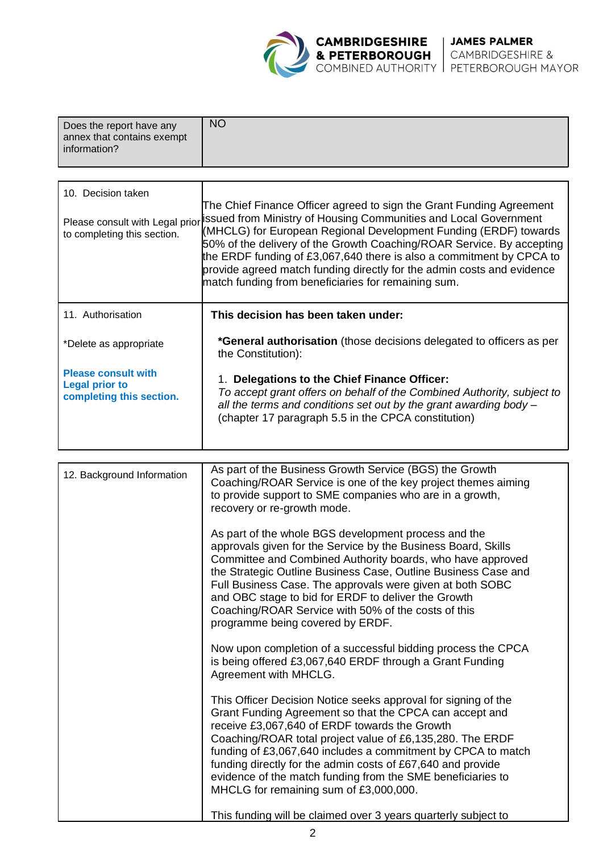

| Does the report have any<br>annex that contains exempt<br>information? | <b>NO</b> |
|------------------------------------------------------------------------|-----------|
|                                                                        |           |

| 10. Decision taken<br>Please consult with Legal prior<br>to completing this section. | The Chief Finance Officer agreed to sign the Grant Funding Agreement<br>issued from Ministry of Housing Communities and Local Government<br>MHCLG) for European Regional Development Funding (ERDF) towards<br>50% of the delivery of the Growth Coaching/ROAR Service. By accepting<br>the ERDF funding of £3,067,640 there is also a commitment by CPCA to<br>provide agreed match funding directly for the admin costs and evidence<br>match funding from beneficiaries for remaining sum. |
|--------------------------------------------------------------------------------------|-----------------------------------------------------------------------------------------------------------------------------------------------------------------------------------------------------------------------------------------------------------------------------------------------------------------------------------------------------------------------------------------------------------------------------------------------------------------------------------------------|
| 11. Authorisation                                                                    | This decision has been taken under:                                                                                                                                                                                                                                                                                                                                                                                                                                                           |
| *Delete as appropriate                                                               | <b>*General authorisation</b> (those decisions delegated to officers as per<br>the Constitution):                                                                                                                                                                                                                                                                                                                                                                                             |
| <b>Please consult with</b><br><b>Legal prior to</b><br>completing this section.      | 1. Delegations to the Chief Finance Officer:<br>To accept grant offers on behalf of the Combined Authority, subject to<br>all the terms and conditions set out by the grant awarding body $-$<br>(chapter 17 paragraph 5.5 in the CPCA constitution)                                                                                                                                                                                                                                          |

| 12. Background Information | As part of the Business Growth Service (BGS) the Growth<br>Coaching/ROAR Service is one of the key project themes aiming<br>to provide support to SME companies who are in a growth,<br>recovery or re-growth mode.                                                                                                                                                                                                                                                             |
|----------------------------|---------------------------------------------------------------------------------------------------------------------------------------------------------------------------------------------------------------------------------------------------------------------------------------------------------------------------------------------------------------------------------------------------------------------------------------------------------------------------------|
|                            | As part of the whole BGS development process and the<br>approvals given for the Service by the Business Board, Skills<br>Committee and Combined Authority boards, who have approved<br>the Strategic Outline Business Case, Outline Business Case and<br>Full Business Case. The approvals were given at both SOBC<br>and OBC stage to bid for ERDF to deliver the Growth<br>Coaching/ROAR Service with 50% of the costs of this<br>programme being covered by ERDF.            |
|                            | Now upon completion of a successful bidding process the CPCA<br>is being offered £3,067,640 ERDF through a Grant Funding<br>Agreement with MHCLG.                                                                                                                                                                                                                                                                                                                               |
|                            | This Officer Decision Notice seeks approval for signing of the<br>Grant Funding Agreement so that the CPCA can accept and<br>receive £3,067,640 of ERDF towards the Growth<br>Coaching/ROAR total project value of £6,135,280. The ERDF<br>funding of £3,067,640 includes a commitment by CPCA to match<br>funding directly for the admin costs of £67,640 and provide<br>evidence of the match funding from the SME beneficiaries to<br>MHCLG for remaining sum of £3,000,000. |
|                            | This funding will be claimed over 3 years quarterly subject to                                                                                                                                                                                                                                                                                                                                                                                                                  |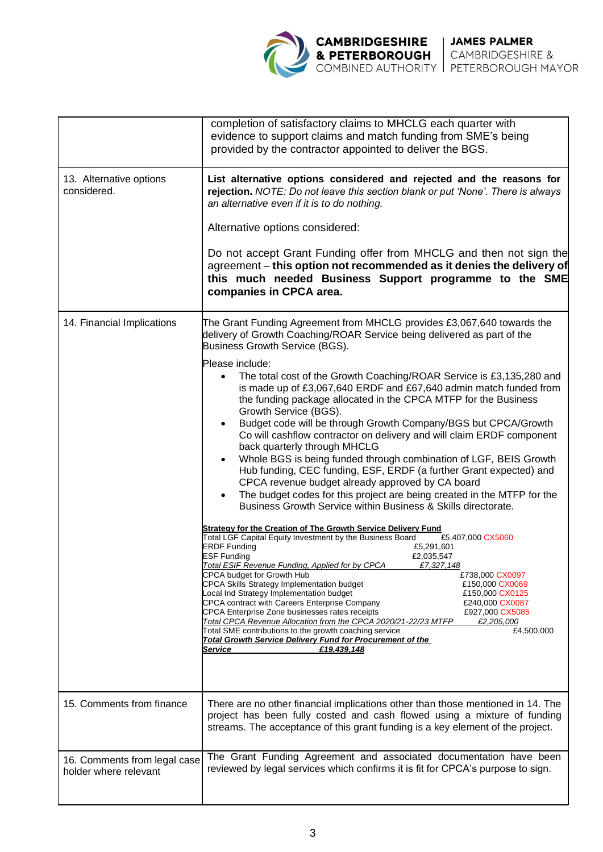

|                                                       | completion of satisfactory claims to MHCLG each quarter with<br>evidence to support claims and match funding from SME's being<br>provided by the contractor appointed to deliver the BGS.                                                                                                                                                                                                                                                                                                                                                                                                                                                                                                                                                                                                                                                                                                                                                                                                                                                                                                                                                                                                                                                                                                                                                                                                                                                                                                                                                                                                                                                                                                                                                                                                                                                                                           |
|-------------------------------------------------------|-------------------------------------------------------------------------------------------------------------------------------------------------------------------------------------------------------------------------------------------------------------------------------------------------------------------------------------------------------------------------------------------------------------------------------------------------------------------------------------------------------------------------------------------------------------------------------------------------------------------------------------------------------------------------------------------------------------------------------------------------------------------------------------------------------------------------------------------------------------------------------------------------------------------------------------------------------------------------------------------------------------------------------------------------------------------------------------------------------------------------------------------------------------------------------------------------------------------------------------------------------------------------------------------------------------------------------------------------------------------------------------------------------------------------------------------------------------------------------------------------------------------------------------------------------------------------------------------------------------------------------------------------------------------------------------------------------------------------------------------------------------------------------------------------------------------------------------------------------------------------------------|
| 13. Alternative options<br>considered.                | List alternative options considered and rejected and the reasons for<br>rejection. NOTE: Do not leave this section blank or put 'None'. There is always<br>an alternative even if it is to do nothing.<br>Alternative options considered:<br>Do not accept Grant Funding offer from MHCLG and then not sign the<br>agreement - this option not recommended as it denies the delivery of<br>this much needed Business Support programme to the SME<br>companies in CPCA area.                                                                                                                                                                                                                                                                                                                                                                                                                                                                                                                                                                                                                                                                                                                                                                                                                                                                                                                                                                                                                                                                                                                                                                                                                                                                                                                                                                                                        |
| 14. Financial Implications                            | The Grant Funding Agreement from MHCLG provides £3,067,640 towards the<br>delivery of Growth Coaching/ROAR Service being delivered as part of the<br>Business Growth Service (BGS).<br>Please include:<br>The total cost of the Growth Coaching/ROAR Service is £3,135,280 and<br>$\bullet$<br>is made up of £3,067,640 ERDF and £67,640 admin match funded from<br>the funding package allocated in the CPCA MTFP for the Business<br>Growth Service (BGS).<br>Budget code will be through Growth Company/BGS but CPCA/Growth<br>$\bullet$<br>Co will cashflow contractor on delivery and will claim ERDF component<br>back quarterly through MHCLG<br>Whole BGS is being funded through combination of LGF, BEIS Growth<br>Hub funding, CEC funding, ESF, ERDF (a further Grant expected) and<br>CPCA revenue budget already approved by CA board<br>The budget codes for this project are being created in the MTFP for the<br>Business Growth Service within Business & Skills directorate.<br><b>Strategy for the Creation of The Growth Service Delivery Fund</b><br>Total LGF Capital Equity Investment by the Business Board<br>£5,407,000 CX5060<br><b>ERDF Funding</b><br>£5,291,601<br><b>ESF Funding</b><br>£2,035,547<br>Total ESIF Revenue Funding, Applied for by CPCA<br>£7,327,148<br>£738,000 CX0097<br>CPCA budget for Growth Hub<br>CPCA Skills Strategy Implementation budget<br>£150,000 CX0069<br>Local Ind Strategy Implementation budget<br>£150,000 CX0125<br>CPCA contract with Careers Enterprise Company<br>£240,000 CX0087<br>CPCA Enterprise Zone businesses rates receipts<br>£927,000 CX5085<br>Total CPCA Revenue Allocation from the CPCA 2020/21-22/23 MTFP<br>£2,205,000<br>£4,500,000<br>Total SME contributions to the growth coaching service<br><b>Total Growth Service Delivery Fund for Procurement of the</b><br>Service<br>£19,439,148 |
| 15. Comments from finance                             | There are no other financial implications other than those mentioned in 14. The<br>project has been fully costed and cash flowed using a mixture of funding<br>streams. The acceptance of this grant funding is a key element of the project.                                                                                                                                                                                                                                                                                                                                                                                                                                                                                                                                                                                                                                                                                                                                                                                                                                                                                                                                                                                                                                                                                                                                                                                                                                                                                                                                                                                                                                                                                                                                                                                                                                       |
| 16. Comments from legal case<br>holder where relevant | The Grant Funding Agreement and associated documentation have been<br>reviewed by legal services which confirms it is fit for CPCA's purpose to sign.                                                                                                                                                                                                                                                                                                                                                                                                                                                                                                                                                                                                                                                                                                                                                                                                                                                                                                                                                                                                                                                                                                                                                                                                                                                                                                                                                                                                                                                                                                                                                                                                                                                                                                                               |